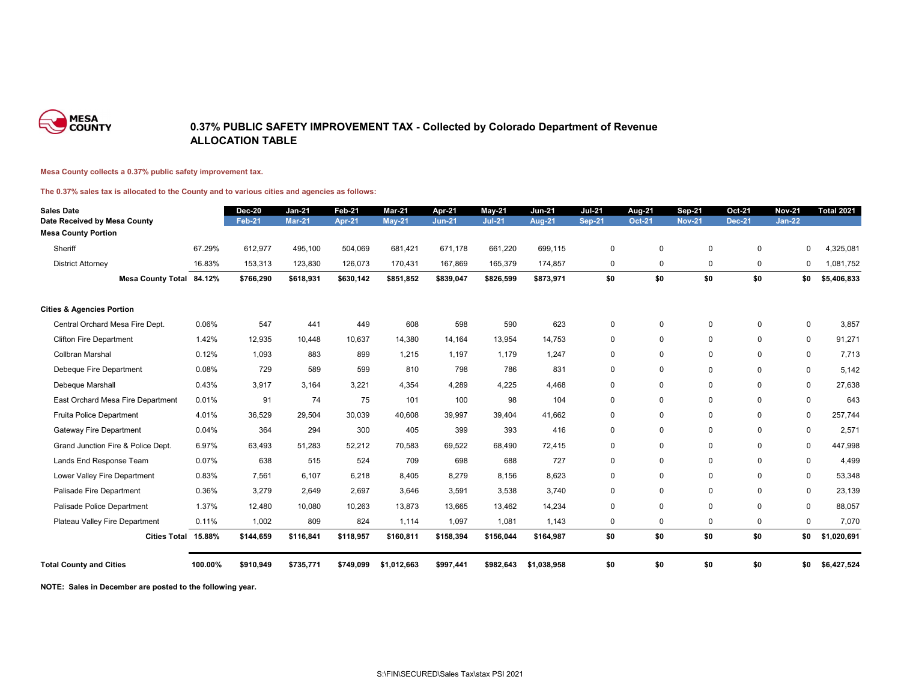

### **0.37% PUBLIC SAFETY IMPROVEMENT TAX - Collected by Colorado Department of Revenue ALLOCATION TABLE**

#### **Mesa County collects a 0.37% public safety improvement tax.**

#### **The 0.37% sales tax is allocated to the County and to various cities and agencies as follows:**

| <b>Sales Date</b>                                          |         | <b>Dec-20</b> | <b>Jan-21</b> | <b>Feb-21</b> | <b>Mar-21</b> | Apr-21        | May-21        | <b>Jun-21</b> | <b>Jul-21</b> | <b>Aug-21</b> | <b>Sep-21</b> | <b>Oct-21</b> | <b>Nov-21</b> | <b>Total 2021</b> |
|------------------------------------------------------------|---------|---------------|---------------|---------------|---------------|---------------|---------------|---------------|---------------|---------------|---------------|---------------|---------------|-------------------|
| Date Received by Mesa County<br><b>Mesa County Portion</b> |         | <b>Feb-21</b> | <b>Mar-21</b> | <b>Apr-21</b> | <b>May-21</b> | <b>Jun-21</b> | <b>Jul-21</b> | <b>Aug-21</b> | <b>Sep-21</b> | <b>Oct-21</b> | <b>Nov-21</b> | <b>Dec-21</b> | <b>Jan-22</b> |                   |
|                                                            |         |               |               |               |               |               |               |               |               |               |               |               |               |                   |
| Sheriff                                                    | 67.29%  | 612,977       | 495,100       | 504,069       | 681,421       | 671,178       | 661,220       | 699,115       | $\pmb{0}$     | $\mathbf 0$   | $\mathbf 0$   | $\mathbf 0$   | 0             | ,325,081          |
| <b>District Attorney</b>                                   | 16.83%  | 153,313       | 123,830       | 126,073       | 170,431       | 167,869       | 165,379       | 174,857       | $\mathbf 0$   | $\mathbf 0$   | 0             | $\mathbf 0$   | 0             | 1,081,752         |
| Mesa County Total 84.12%                                   |         | \$766,290     | \$618,931     | \$630,142     | \$851,852     | \$839,047     | \$826,599     | \$873,971     | \$0           | \$0           | \$0           | \$0           | \$0           | \$5,406,833       |
| <b>Cities &amp; Agencies Portion</b>                       |         |               |               |               |               |               |               |               |               |               |               |               |               |                   |
| Central Orchard Mesa Fire Dept.                            | 0.06%   | 547           | 441           | 449           | 608           | 598           | 590           | 623           | $\mathbf 0$   | $\mathbf 0$   | 0             | $\mathbf 0$   | 0             | 3,857             |
| <b>Clifton Fire Department</b>                             | 1.42%   | 12,935        | 10,448        | 10,637        | 14,380        | 14,164        | 13,954        | 14,753        | $\mathbf 0$   | $\Omega$      | $\mathbf 0$   | $\mathbf 0$   | $\mathbf 0$   | 91,271            |
| Collbran Marshal                                           | 0.12%   | 1,093         | 883           | 899           | 1,215         | 1,197         | 1,179         | 1,247         | $\mathbf 0$   | $\mathbf 0$   | $\mathbf{0}$  | $\mathbf{0}$  | $\mathbf 0$   | 7,713             |
| Debeque Fire Department                                    | 0.08%   | 729           | 589           | 599           | 810           | 798           | 786           | 831           | $\mathbf 0$   | $\mathbf 0$   | 0             | $\mathbf 0$   | $\mathbf 0$   | 5,142             |
| Debeque Marshall                                           | 0.43%   | 3,917         | 3,164         | 3,221         | 4,354         | 4,289         | 4,225         | 4,468         | $\mathbf 0$   | $\mathbf 0$   | $\mathbf 0$   | $\mathbf 0$   | $\mathbf{0}$  | 27,638            |
| East Orchard Mesa Fire Department                          | 0.01%   | 91            | 74            | 75            | 101           | 100           | 98            | 104           | $\mathbf 0$   | 0             | 0             | $\mathbf 0$   | 0             | 643               |
| Fruita Police Department                                   | 4.01%   | 36,529        | 29,504        | 30,039        | 40,608        | 39,997        | 39,404        | 41,662        | $\mathbf 0$   | $\mathbf 0$   | $\mathbf 0$   | $\mathbf 0$   | $\mathbf 0$   | 257,744           |
| <b>Gateway Fire Department</b>                             | 0.04%   | 364           | 294           | 300           | 405           | 399           | 393           | 416           | $\mathbf 0$   | $\mathbf 0$   | $\mathbf 0$   | $\mathbf 0$   | $\mathbf 0$   | 2,571             |
| Grand Junction Fire & Police Dept.                         | 6.97%   | 63,493        | 51,283        | 52,212        | 70,583        | 69,522        | 68,490        | 72,415        | $\mathbf 0$   | $\mathbf 0$   | $\mathbf 0$   | $\mathbf 0$   | $\mathbf 0$   | 447,998           |
| Lands End Response Team                                    | 0.07%   | 638           | 515           | 524           | 709           | 698           | 688           | 727           | $\mathbf 0$   | $\mathbf 0$   | $\mathbf 0$   | 0             | $\mathbf 0$   | 4,499             |
| Lower Valley Fire Department                               | 0.83%   | 7,561         | 6,107         | 6,218         | 8,405         | 8,279         | 8,156         | 8,623         | $\mathbf 0$   | $\mathbf 0$   | $\mathbf 0$   | $\mathbf 0$   | 0             | 53,348            |
| Palisade Fire Department                                   | 0.36%   | 3,279         | 2,649         | 2,697         | 3,646         | 3,591         | 3,538         | 3,740         | $\mathbf 0$   | $\mathbf 0$   | $\mathbf 0$   | $\mathbf 0$   | 0             | 23,139            |
| Palisade Police Department                                 | 1.37%   | 12,480        | 10,080        | 10,263        | 13,873        | 13,665        | 13,462        | 14,234        | $\mathbf 0$   | $\mathbf 0$   | $\mathbf 0$   | $\mathbf 0$   | 0             | 88,057            |
| Plateau Valley Fire Department                             | 0.11%   | 1,002         | 809           | 824           | 1,114         | 1,097         | 1,081         | 1,143         | $\mathbf 0$   | $\mathbf 0$   | $\mathbf 0$   | $\mathbf 0$   | 0             | 7,070             |
| Cities Total 15.88%                                        |         | \$144,659     | \$116,841     | \$118,957     | \$160,811     | \$158,394     | \$156,044     | \$164,987     | \$0           | \$0           | \$0           | \$0           | \$0           | \$1,020,691       |
| <b>Total County and Cities</b>                             | 100.00% | \$910,949     | \$735,771     | \$749,099     | \$1,012,663   | \$997,441     | \$982,643     | \$1,038,958   | \$0           | \$0           | \$0           | \$0           | \$0           | \$6,427,524       |

**NOTE: Sales in December are posted to the following year.**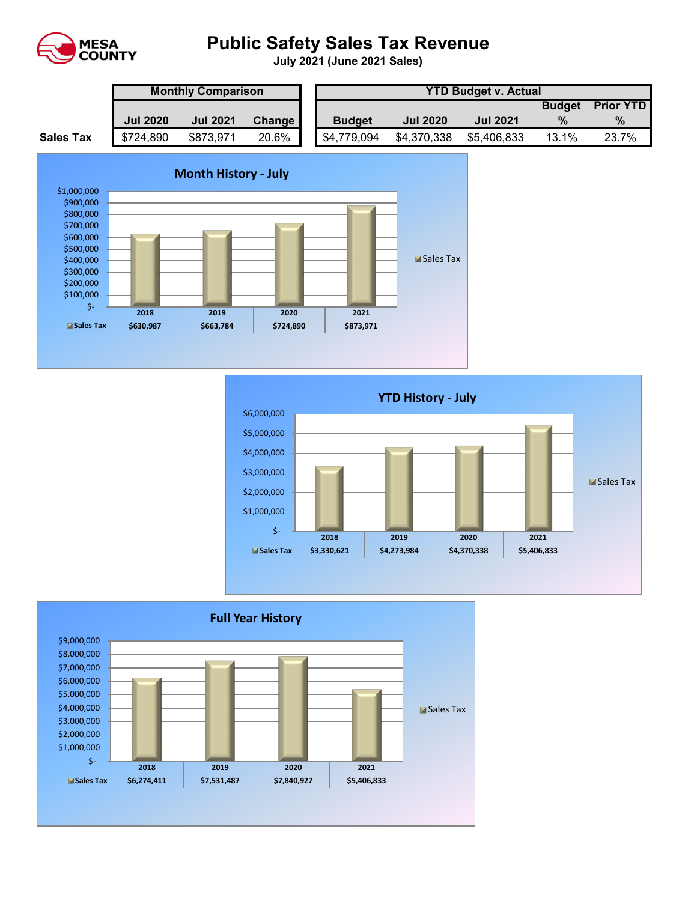

# **Public Safety Sales Tax Revenue**

**July 2021 (June 2021 Sales)** 

|                  | <b>Monthly Comparison</b> |                 |        |  | <b>YTD Budget v. Actual</b> |                 |                 |               |                  |  |  |  |
|------------------|---------------------------|-----------------|--------|--|-----------------------------|-----------------|-----------------|---------------|------------------|--|--|--|
|                  |                           |                 |        |  |                             |                 |                 | <b>Budget</b> | <b>Prior YTD</b> |  |  |  |
|                  | <b>Jul 2020</b>           | <b>Jul 2021</b> | Change |  | <b>Budget</b>               | <b>Jul 2020</b> | <b>Jul 2021</b> |               | $\%$             |  |  |  |
| <b>Sales Tax</b> | \$724,890                 | \$873,971       | 20.6%  |  | \$4,779,094                 | \$4,370,338     | \$5,406,833     | 13.1%         | 23.7%            |  |  |  |